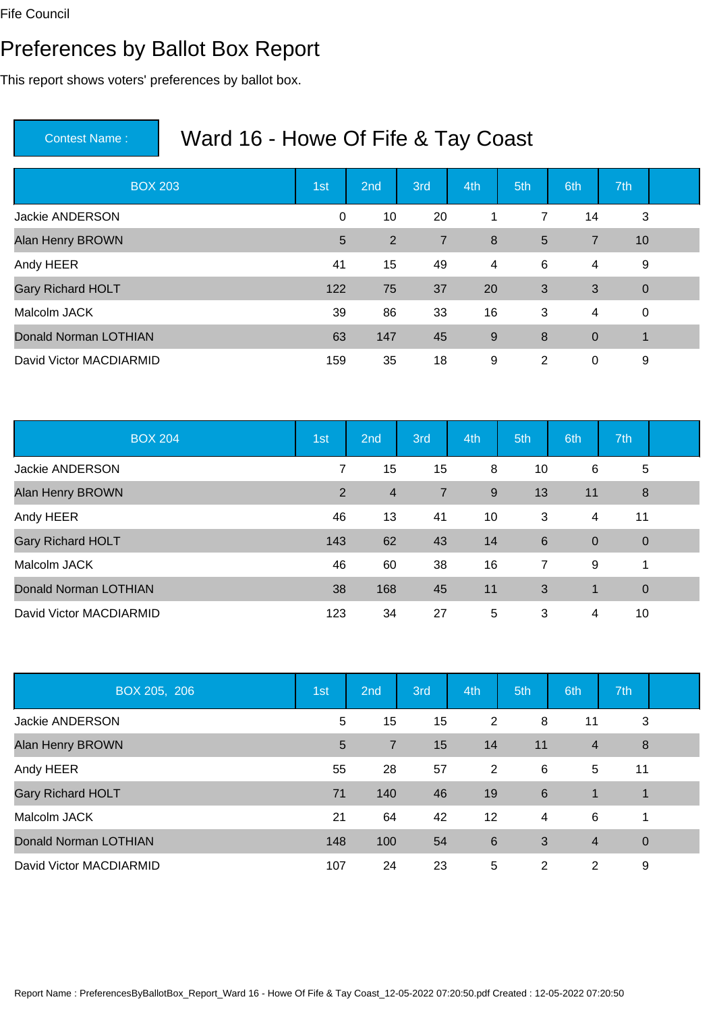#### Preferences by Ballot Box Report

This report shows voters' preferences by ballot box.

| <b>BOX 203</b>           | 1st | 2nd            | 3rd            | 4th | 5th            | 6th         | 7th            |  |
|--------------------------|-----|----------------|----------------|-----|----------------|-------------|----------------|--|
| <b>Jackie ANDERSON</b>   | 0   | 10             | 20             | 1   | $\overline{7}$ | 14          | 3              |  |
| Alan Henry BROWN         | 5   | $\overline{2}$ | $\overline{7}$ | 8   | $5\phantom{1}$ | 7           | 10             |  |
| Andy HEER                | 41  | 15             | 49             | 4   | 6              | 4           | 9              |  |
| <b>Gary Richard HOLT</b> | 122 | 75             | 37             | 20  | 3              | 3           | $\overline{0}$ |  |
| Malcolm JACK             | 39  | 86             | 33             | 16  | 3              | 4           | $\mathbf 0$    |  |
| Donald Norman LOTHIAN    | 63  | 147            | 45             | 9   | 8              | $\mathbf 0$ | 1              |  |
| David Victor MACDIARMID  | 159 | 35             | 18             | 9   | 2              | 0           | 9              |  |

| <b>BOX 204</b>               | 1st | 2 <sub>nd</sub> | 3rd            | 4th | 5th             | 6th         | 7th            |  |
|------------------------------|-----|-----------------|----------------|-----|-----------------|-------------|----------------|--|
| Jackie ANDERSON              | 7   | 15              | 15             | 8   | 10              | 6           | 5              |  |
| Alan Henry BROWN             | 2   | $\overline{4}$  | $\overline{7}$ | 9   | 13              | 11          | 8              |  |
| Andy HEER                    | 46  | 13              | 41             | 10  | 3               | 4           | 11             |  |
| <b>Gary Richard HOLT</b>     | 143 | 62              | 43             | 14  | $6\phantom{1}6$ | $\mathbf 0$ | $\overline{0}$ |  |
| Malcolm JACK                 | 46  | 60              | 38             | 16  | $\overline{7}$  | 9           | 1              |  |
| <b>Donald Norman LOTHIAN</b> | 38  | 168             | 45             | 11  | 3               | $\mathbf 1$ | $\overline{0}$ |  |
| David Victor MACDIARMID      | 123 | 34              | 27             | 5   | 3               | 4           | 10             |  |

| BOX 205, 206                 | 1st | 2nd            | 3rd | 4th            | 5th             | 6th            | 7th            |  |
|------------------------------|-----|----------------|-----|----------------|-----------------|----------------|----------------|--|
| <b>Jackie ANDERSON</b>       | 5   | 15             | 15  | $\overline{2}$ | 8               | 11             | 3              |  |
| Alan Henry BROWN             | 5   | $\overline{7}$ | 15  | 14             | 11              | $\overline{4}$ | 8              |  |
| Andy HEER                    | 55  | 28             | 57  | $\overline{2}$ | 6               | 5              | 11             |  |
| <b>Gary Richard HOLT</b>     | 71  | 140            | 46  | 19             | $6\phantom{1}6$ | 1              | $\mathbf 1$    |  |
| Malcolm JACK                 | 21  | 64             | 42  | 12             | 4               | 6              |                |  |
| <b>Donald Norman LOTHIAN</b> | 148 | 100            | 54  | 6              | 3               | $\overline{4}$ | $\overline{0}$ |  |
| David Victor MACDIARMID      | 107 | 24             | 23  | 5              | $\overline{2}$  | 2              | 9              |  |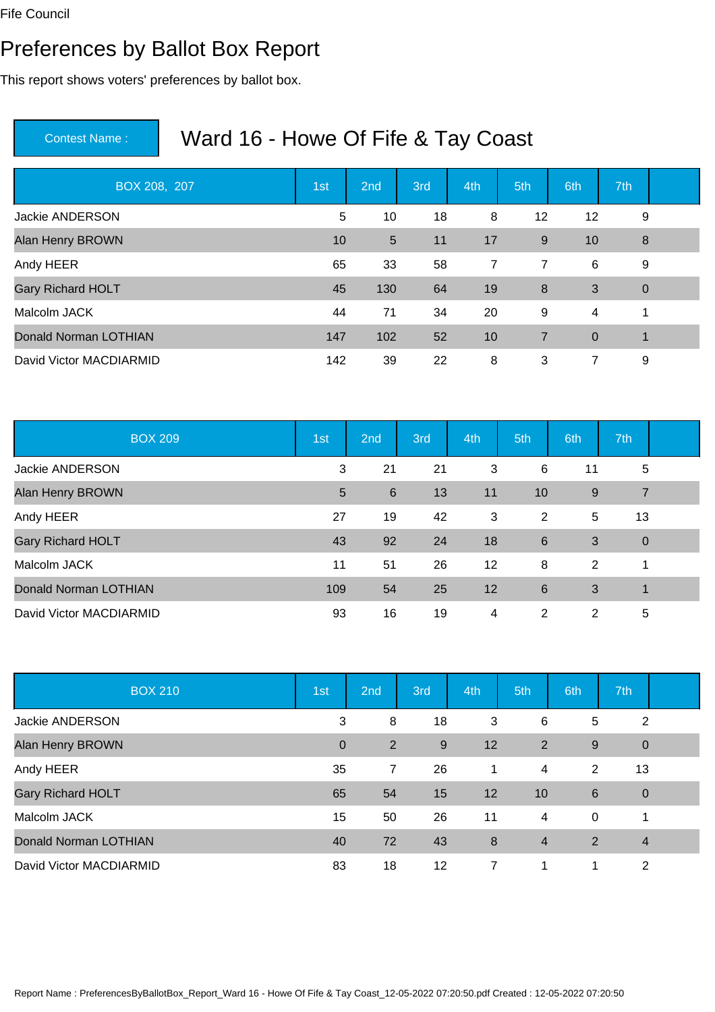#### Preferences by Ballot Box Report

This report shows voters' preferences by ballot box.

| BOX 208, 207                 | 1st | 2nd | 3rd | 4th            | 5th            | 6th         | 7th            |  |
|------------------------------|-----|-----|-----|----------------|----------------|-------------|----------------|--|
| Jackie ANDERSON              | 5   | 10  | 18  | 8              | 12             | 12          | 9              |  |
| Alan Henry BROWN             | 10  | 5   | 11  | 17             | 9              | 10          | 8              |  |
| Andy HEER                    | 65  | 33  | 58  | $\overline{7}$ | 7              | 6           | 9              |  |
| <b>Gary Richard HOLT</b>     | 45  | 130 | 64  | 19             | 8              | 3           | $\overline{0}$ |  |
| Malcolm JACK                 | 44  | 71  | 34  | 20             | 9              | 4           | 1              |  |
| <b>Donald Norman LOTHIAN</b> | 147 | 102 | 52  | 10             | $\overline{7}$ | $\mathbf 0$ | 1              |  |
| David Victor MACDIARMID      | 142 | 39  | 22  | 8              | 3              | 7           | 9              |  |

| <b>BOX 209</b>               | 1st            | 2 <sub>nd</sub> | 3rd | 4th | 5th             | 6th | 7th            |  |
|------------------------------|----------------|-----------------|-----|-----|-----------------|-----|----------------|--|
| Jackie ANDERSON              | 3              | 21              | 21  | 3   | 6               | 11  | 5              |  |
| Alan Henry BROWN             | $5\phantom{1}$ | 6               | 13  | 11  | 10              | 9   | $\overline{7}$ |  |
| Andy HEER                    | 27             | 19              | 42  | 3   | $\overline{2}$  | 5   | 13             |  |
| <b>Gary Richard HOLT</b>     | 43             | 92              | 24  | 18  | $6\phantom{1}6$ | 3   | $\overline{0}$ |  |
| Malcolm JACK                 | 11             | 51              | 26  | 12  | 8               | 2   | 1              |  |
| <b>Donald Norman LOTHIAN</b> | 109            | 54              | 25  | 12  | $6\phantom{1}6$ | 3   | $\mathbf 1$    |  |
| David Victor MACDIARMID      | 93             | 16              | 19  | 4   | 2               | 2   | 5              |  |

| <b>BOX 210</b>               | 1st          | 2nd | 3rd | 4th            | 5th            | 6th         | 7th            |  |
|------------------------------|--------------|-----|-----|----------------|----------------|-------------|----------------|--|
| Jackie ANDERSON              | 3            | 8   | 18  | 3              | 6              | 5           | $\overline{2}$ |  |
| Alan Henry BROWN             | $\mathbf{0}$ | 2   | 9   | 12             | $\overline{2}$ | 9           | $\mathbf 0$    |  |
| Andy HEER                    | 35           | 7   | 26  | $\mathbf 1$    | 4              | 2           | 13             |  |
| <b>Gary Richard HOLT</b>     | 65           | 54  | 15  | 12             | 10             | 6           | $\overline{0}$ |  |
| Malcolm JACK                 | 15           | 50  | 26  | 11             | 4              | $\mathbf 0$ |                |  |
| <b>Donald Norman LOTHIAN</b> | 40           | 72  | 43  | 8              | $\overline{4}$ | 2           | $\overline{4}$ |  |
| David Victor MACDIARMID      | 83           | 18  | 12  | $\overline{7}$ | 1              | 1           | 2              |  |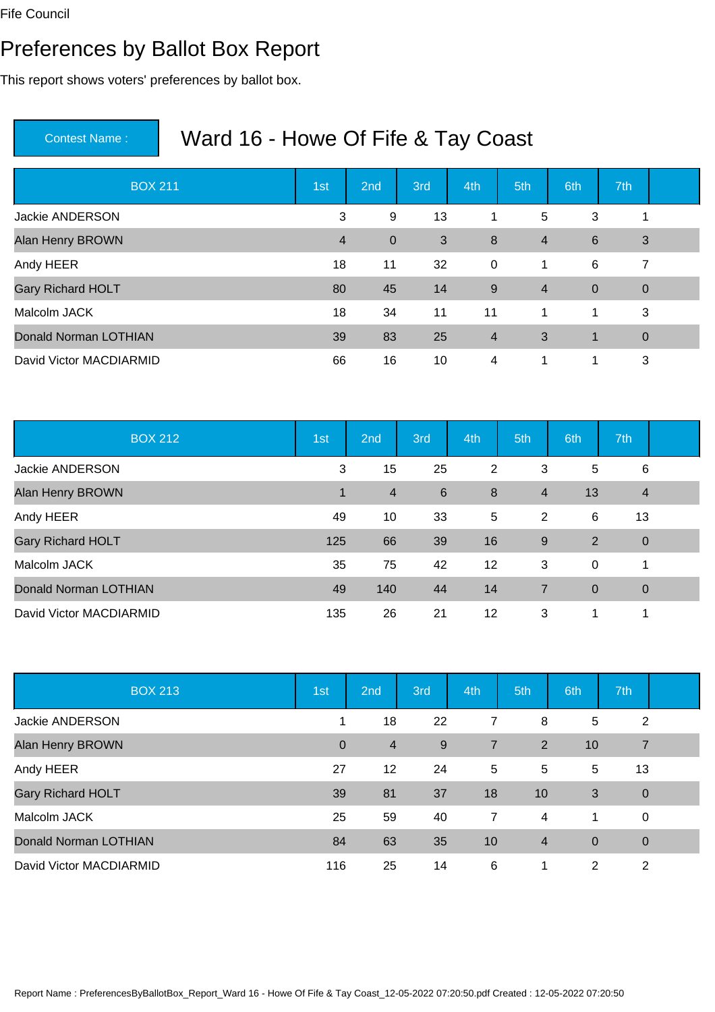#### Preferences by Ballot Box Report

This report shows voters' preferences by ballot box.

| <b>BOX 211</b>           | 1st            | 2nd         | 3rd | 4th              | 5th            | 6th            | 7th            |  |
|--------------------------|----------------|-------------|-----|------------------|----------------|----------------|----------------|--|
| <b>Jackie ANDERSON</b>   | 3              | 9           | 13  | 1                | 5              | 3              | 1              |  |
| Alan Henry BROWN         | $\overline{4}$ | $\mathbf 0$ | 3   | $\boldsymbol{8}$ | $\overline{4}$ | $\,6\,$        | $\mathbf{3}$   |  |
| Andy HEER                | 18             | 11          | 32  | $\mathbf 0$      | 1              | 6              | $\overline{7}$ |  |
| <b>Gary Richard HOLT</b> | 80             | 45          | 14  | 9                | $\overline{4}$ | $\overline{0}$ | $\overline{0}$ |  |
| Malcolm JACK             | 18             | 34          | 11  | 11               | $\overline{1}$ | $\mathbf 1$    | 3              |  |
| Donald Norman LOTHIAN    | 39             | 83          | 25  | $\overline{4}$   | 3              | $\mathbf{1}$   | $\overline{0}$ |  |
| David Victor MACDIARMID  | 66             | 16          | 10  | 4                | 1              | 1              | 3              |  |

| <b>BOX 212</b>               | 1st | 2 <sub>nd</sub> | 3rd | 4th     | 5th            | 6th            | 7th            |  |
|------------------------------|-----|-----------------|-----|---------|----------------|----------------|----------------|--|
| Jackie ANDERSON              | 3   | 15              | 25  | 2       | 3              | 5              | 6              |  |
| Alan Henry BROWN             | 1   | $\overline{4}$  | 6   | 8       | $\overline{4}$ | 13             | $\overline{4}$ |  |
| Andy HEER                    | 49  | 10              | 33  | 5       | 2              | 6              | 13             |  |
| <b>Gary Richard HOLT</b>     | 125 | 66              | 39  | 16      | 9              | 2              | $\overline{0}$ |  |
| Malcolm JACK                 | 35  | 75              | 42  | $12 \,$ | 3              | 0              | 1              |  |
| <b>Donald Norman LOTHIAN</b> | 49  | 140             | 44  | 14      | 7              | $\overline{0}$ | $\overline{0}$ |  |
| David Victor MACDIARMID      | 135 | 26              | 21  | 12      | 3              | 1              | 1              |  |

| <b>BOX 213</b>               | 1st          | 2nd             | 3rd | 4th            | 5th            | 6th            | 7th            |  |
|------------------------------|--------------|-----------------|-----|----------------|----------------|----------------|----------------|--|
| Jackie ANDERSON              |              | 18              | 22  | 7              | 8              | 5              | $\overline{2}$ |  |
| Alan Henry BROWN             | $\mathbf{0}$ | $\overline{4}$  | 9   | $\overline{7}$ | 2              | 10             | $\overline{7}$ |  |
| Andy HEER                    | 27           | 12 <sup>2</sup> | 24  | 5              | 5              | 5              | 13             |  |
| <b>Gary Richard HOLT</b>     | 39           | 81              | 37  | 18             | 10             | 3              | $\overline{0}$ |  |
| Malcolm JACK                 | 25           | 59              | 40  | $\overline{7}$ | 4              | -1             | $\mathbf 0$    |  |
| <b>Donald Norman LOTHIAN</b> | 84           | 63              | 35  | 10             | $\overline{4}$ | $\overline{0}$ | $\mathbf 0$    |  |
| David Victor MACDIARMID      | 116          | 25              | 14  | 6              | 1              | 2              | 2              |  |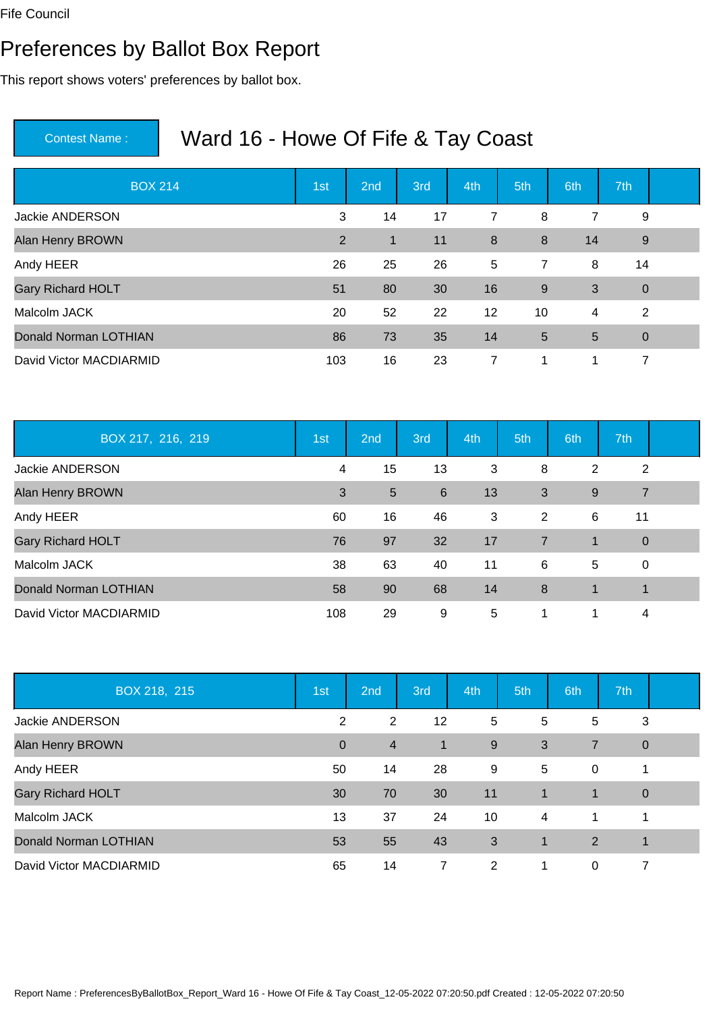#### Preferences by Ballot Box Report

This report shows voters' preferences by ballot box.

| <b>BOX 214</b>           | 1st            | 2nd | 3rd | 4th            | 5th             | 6th | 7th            |  |
|--------------------------|----------------|-----|-----|----------------|-----------------|-----|----------------|--|
| <b>Jackie ANDERSON</b>   | 3              | 14  | 17  | $\overline{7}$ | 8               | 7   | 9              |  |
| Alan Henry BROWN         | $\overline{2}$ | 1   | 11  | 8              | 8               | 14  | 9              |  |
| Andy HEER                | 26             | 25  | 26  | 5              | $\overline{7}$  | 8   | 14             |  |
| <b>Gary Richard HOLT</b> | 51             | 80  | 30  | 16             | 9               | 3   | $\overline{0}$ |  |
| Malcolm JACK             | 20             | 52  | 22  | 12             | 10              | 4   | 2              |  |
| Donald Norman LOTHIAN    | 86             | 73  | 35  | 14             | $5\overline{)}$ | 5   | $\mathbf 0$    |  |
| David Victor MACDIARMID  | 103            | 16  | 23  | 7              | 1               | 1   | 7              |  |

| BOX 217, 216, 219        | 1st | 2 <sub>nd</sub> | 3rd | 4th | 5th            | 6th         | 7th            |  |
|--------------------------|-----|-----------------|-----|-----|----------------|-------------|----------------|--|
| Jackie ANDERSON          | 4   | 15              | 13  | 3   | 8              | 2           | 2              |  |
| Alan Henry BROWN         | 3   | 5               | 6   | 13  | 3              | 9           | $\overline{7}$ |  |
| Andy HEER                | 60  | 16              | 46  | 3   | 2              | 6           | 11             |  |
| <b>Gary Richard HOLT</b> | 76  | 97              | 32  | 17  | $\overline{7}$ | $\mathbf 1$ | $\overline{0}$ |  |
| Malcolm JACK             | 38  | 63              | 40  | 11  | 6              | 5           | $\mathbf 0$    |  |
| Donald Norman LOTHIAN    | 58  | 90              | 68  | 14  | 8              | $\mathbf 1$ | 1              |  |
| David Victor MACDIARMID  | 108 | 29              | 9   | 5   | 1              |             | 4              |  |

| BOX 218, 215             | 1st          | 2nd            | 3rd            | 4th | 5th            | 6th            | 7th         |  |
|--------------------------|--------------|----------------|----------------|-----|----------------|----------------|-------------|--|
| Jackie ANDERSON          | 2            | 2              | 12             | 5   | 5              | 5              | 3           |  |
| Alan Henry BROWN         | $\mathbf{0}$ | $\overline{4}$ | $\overline{1}$ | 9   | 3              | $\overline{7}$ | $\mathbf 0$ |  |
| Andy HEER                | 50           | 14             | 28             | 9   | 5              | $\mathbf 0$    | 1           |  |
| <b>Gary Richard HOLT</b> | 30           | 70             | 30             | 11  | $\overline{1}$ | 1              | $\mathbf 0$ |  |
| Malcolm JACK             | 13           | 37             | 24             | 10  | $\overline{4}$ | 1              | 1           |  |
| Donald Norman LOTHIAN    | 53           | 55             | 43             | 3   | $\mathbf 1$    | 2              | 1           |  |
| David Victor MACDIARMID  | 65           | 14             | 7              | 2   | 1              | 0              | 7           |  |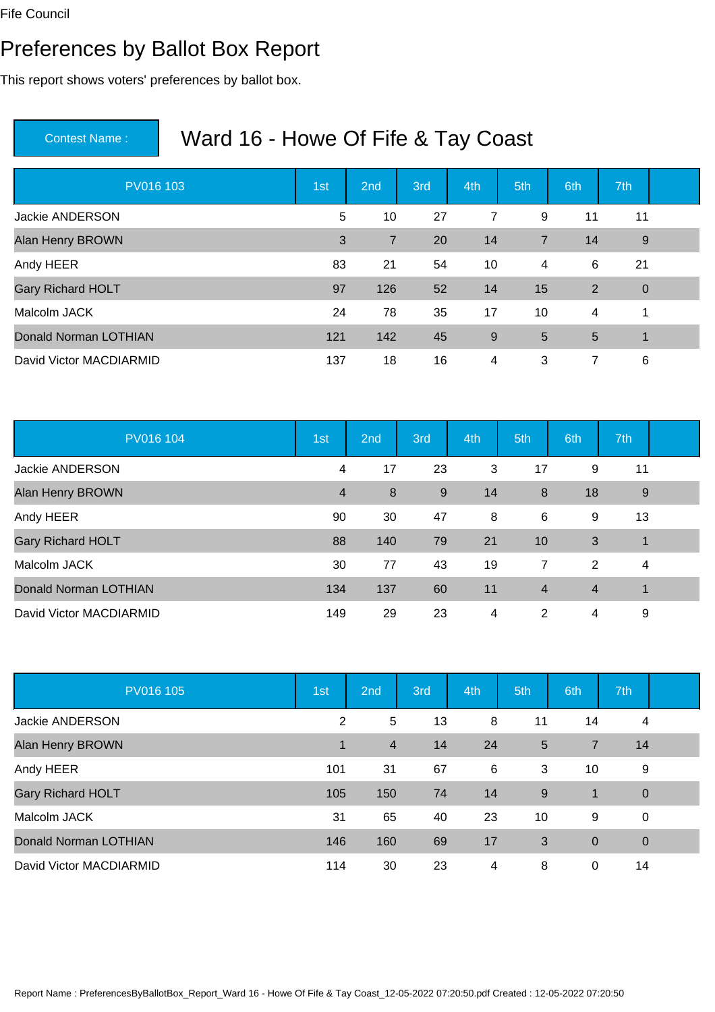#### Preferences by Ballot Box Report

This report shows voters' preferences by ballot box.

| PV016 103                | 1st | 2nd            | 3rd | 4th | 5th            | 6th | 7th            |  |
|--------------------------|-----|----------------|-----|-----|----------------|-----|----------------|--|
| <b>Jackie ANDERSON</b>   | 5   | 10             | 27  | 7   | 9              | 11  | 11             |  |
| Alan Henry BROWN         | 3   | $\overline{7}$ | 20  | 14  | $\overline{7}$ | 14  | 9              |  |
| Andy HEER                | 83  | 21             | 54  | 10  | 4              | 6   | 21             |  |
| <b>Gary Richard HOLT</b> | 97  | 126            | 52  | 14  | 15             | 2   | $\overline{0}$ |  |
| Malcolm JACK             | 24  | 78             | 35  | 17  | 10             | 4   | 1              |  |
| Donald Norman LOTHIAN    | 121 | 142            | 45  | 9   | $5\phantom{1}$ | 5   | $\overline{1}$ |  |
| David Victor MACDIARMID  | 137 | 18             | 16  | 4   | 3              | 7   | 6              |  |

| PV016 104                    | 1st            | 2 <sub>nd</sub> | 3rd | 4th | 5th            | 6th            | 7th            |  |
|------------------------------|----------------|-----------------|-----|-----|----------------|----------------|----------------|--|
| Jackie ANDERSON              | 4              | 17              | 23  | 3   | 17             | 9              | 11             |  |
| Alan Henry BROWN             | $\overline{4}$ | 8               | 9   | 14  | 8              | 18             | 9              |  |
| Andy HEER                    | 90             | 30              | 47  | 8   | 6              | 9              | 13             |  |
| <b>Gary Richard HOLT</b>     | 88             | 140             | 79  | 21  | 10             | 3              | $\mathbf{1}$   |  |
| Malcolm JACK                 | 30             | 77              | 43  | 19  | $\overline{7}$ | 2              | $\overline{4}$ |  |
| <b>Donald Norman LOTHIAN</b> | 134            | 137             | 60  | 11  | $\overline{4}$ | $\overline{4}$ | $\mathbf 1$    |  |
| David Victor MACDIARMID      | 149            | 29              | 23  | 4   | 2              | 4              | 9              |  |

| PV016 105                    | 1st         | 2 <sub>nd</sub> | 3rd | 4th | 5th | 6th            | 7th         |  |
|------------------------------|-------------|-----------------|-----|-----|-----|----------------|-------------|--|
| <b>Jackie ANDERSON</b>       | 2           | 5               | 13  | 8   | 11  | 14             | 4           |  |
| Alan Henry BROWN             | $\mathbf 1$ | $\overline{4}$  | 14  | 24  | 5   | 7              | 14          |  |
| Andy HEER                    | 101         | 31              | 67  | 6   | 3   | 10             | 9           |  |
| <b>Gary Richard HOLT</b>     | 105         | 150             | 74  | 14  | 9   | 1              | $\mathbf 0$ |  |
| Malcolm JACK                 | 31          | 65              | 40  | 23  | 10  | 9              | $\mathbf 0$ |  |
| <b>Donald Norman LOTHIAN</b> | 146         | 160             | 69  | 17  | 3   | $\overline{0}$ | $\mathbf 0$ |  |
| David Victor MACDIARMID      | 114         | 30              | 23  | 4   | 8   | 0              | 14          |  |